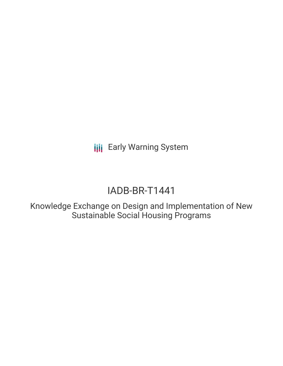**III** Early Warning System

# IADB-BR-T1441

Knowledge Exchange on Design and Implementation of New Sustainable Social Housing Programs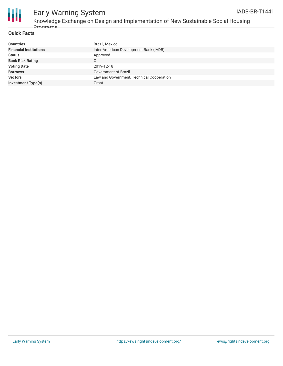



## Early Warning System

Knowledge Exchange on Design and Implementation of New Sustainable Social Housing Drograms

### **Quick Facts**

| <b>Countries</b>              | Brazil, Mexico                            |
|-------------------------------|-------------------------------------------|
| <b>Financial Institutions</b> | Inter-American Development Bank (IADB)    |
| <b>Status</b>                 | Approved                                  |
| <b>Bank Risk Rating</b>       | С                                         |
| <b>Voting Date</b>            | 2019-12-18                                |
| <b>Borrower</b>               | Government of Brazil                      |
| <b>Sectors</b>                | Law and Government, Technical Cooperation |
| <b>Investment Type(s)</b>     | Grant                                     |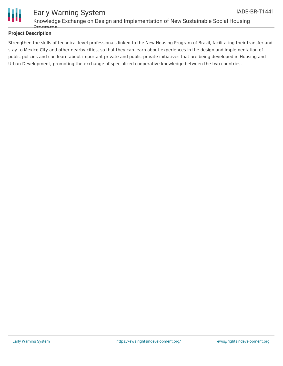

### **Project Description**

Strengthen the skills of technical level professionals linked to the New Housing Program of Brazil, facilitating their transfer and stay to Mexico City and other nearby cities, so that they can learn about experiences in the design and implementation of public policies and can learn about important private and public-private initiatives that are being developed in Housing and Urban Development, promoting the exchange of specialized cooperative knowledge between the two countries.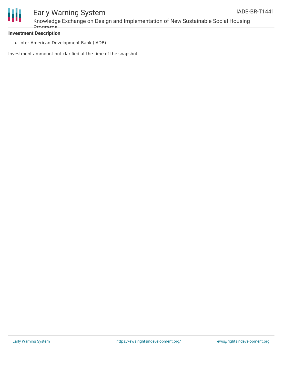

### Early Warning System

Knowledge Exchange on Design and Implementation of New Sustainable Social Housing Drograme

### **Investment Description**

• Inter-American Development Bank (IADB)

Investment ammount not clarified at the time of the snapshot